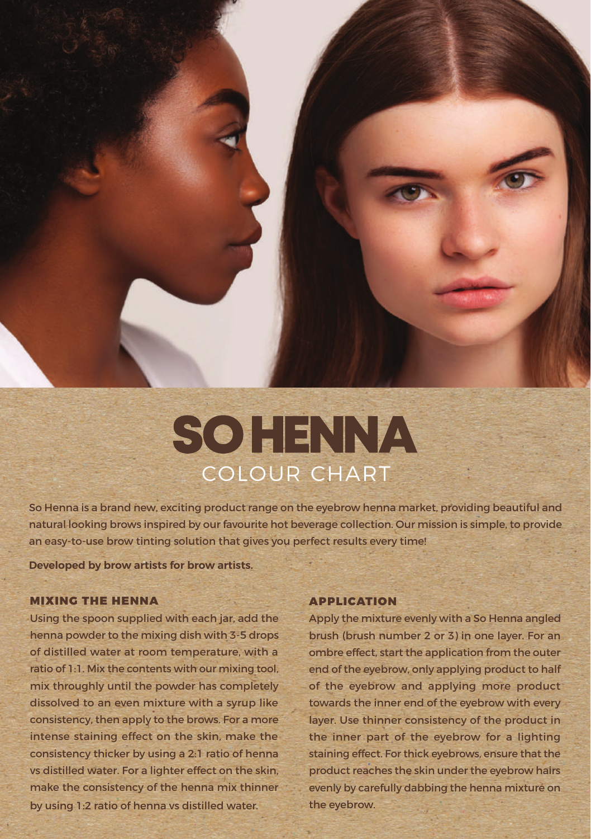## **SOHENNA** COLOUR CHART

So Henna is a brand new, exciting product range on the eyebrow henna market, providing beautiful and natural looking brows inspired by our favourite hot beverage collection. Our mission is simple, to provide an easy-to-use brow tinting solution that gives you perfect results every time!

**Developed by brow artists for brow artists.**

## MIXING THE HENNA

Using the spoon supplied with each jar, add the henna powder to the mixing dish with 3-5 drops of distilled water at room temperature, with a ratio of 1:1. Mix the contents with our mixing tool, mix throughly until the powder has completely dissolved to an even mixture with a syrup like consistency, then apply to the brows. For a more intense staining effect on the skin, make the consistency thicker by using a 2:1 ratio of henna vs distilled water. For a lighter effect on the skin, make the consistency of the henna mix thinner by using 1:2 ratio of henna vs distilled water.

## APPLICATION

Apply the mixture evenly with a So Henna angled brush (brush number 2 or 3) in one layer. For an ombre effect, start the application from the outer end of the eyebrow, only applying product to half of the eyebrow and applying more product towards the inner end of the eyebrow with every layer. Use thinner consistency of the product in the inner part of the eyebrow for a lighting staining effect. For thick eyebrows, ensure that the product reaches the skin under the eyebrow hairs evenly by carefully dabbing the henna mixture on the eyebrow.